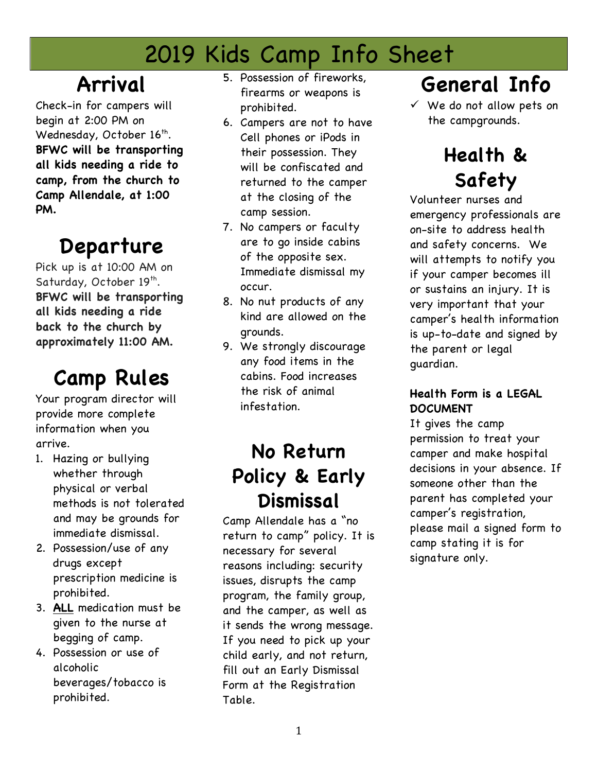# 2019 Kids Camp Info Sheet

# **Arrival**

Check-in for campers will begin at 2:00 PM on Wednesday, October  $16^{th}$ . **BFWC will be transporting all kids needing a ride to camp, from the church to Camp Allendale, at 1:00 PM.** 

# **Departure**

Pick up is at 10:00 AM on Saturday, October 19<sup>th</sup>. **BFWC will be transporting all kids needing a ride back to the church by approximately 11:00 AM.**

# **Camp Rules**

Your program director will provide more complete information when you arrive.

- 1. Hazing or bullying whether through physical or verbal methods is not tolerated and may be grounds for immediate dismissal.
- 2. Possession/use of any drugs except prescription medicine is prohibited.
- 3. **ALL** medication must be given to the nurse at begging of camp.
- 4. Possession or use of alcoholic beverages/tobacco is prohibited.
- 5. Possession of fireworks, firearms or weapons is prohibited.
- 6. Campers are not to have Cell phones or iPods in their possession. They will be confiscated and returned to the camper at the closing of the camp session.
- 7. No campers or faculty are to go inside cabins of the opposite sex. Immediate dismissal my occur.
- 8. No nut products of any kind are allowed on the grounds.
- 9. We strongly discourage any food items in the cabins. Food increases the risk of animal infestation.

### **No Return Policy & Early Dismissal**

Camp Allendale has a "no return to camp" policy. It is necessary for several reasons including: security issues, disrupts the camp program, the family group, and the camper, as well as it sends the wrong message. If you need to pick up your child early, and not return, fill out an Early Dismissal Form at the Registration Table.

# **General Info**

 $\checkmark$  We do not allow pets on the campgrounds.

# **Health & Safety**

Volunteer nurses and emergency professionals are on-site to address health and safety concerns. We will attempts to notify you if your camper becomes ill or sustains an injury. It is very important that your camper's health information is up-to-date and signed by the parent or legal guardian.

#### **Health Form is a LEGAL DOCUMENT**

It gives the camp permission to treat your camper and make hospital decisions in your absence. If someone other than the parent has completed your camper's registration, please mail a signed form to camp stating it is for signature only.